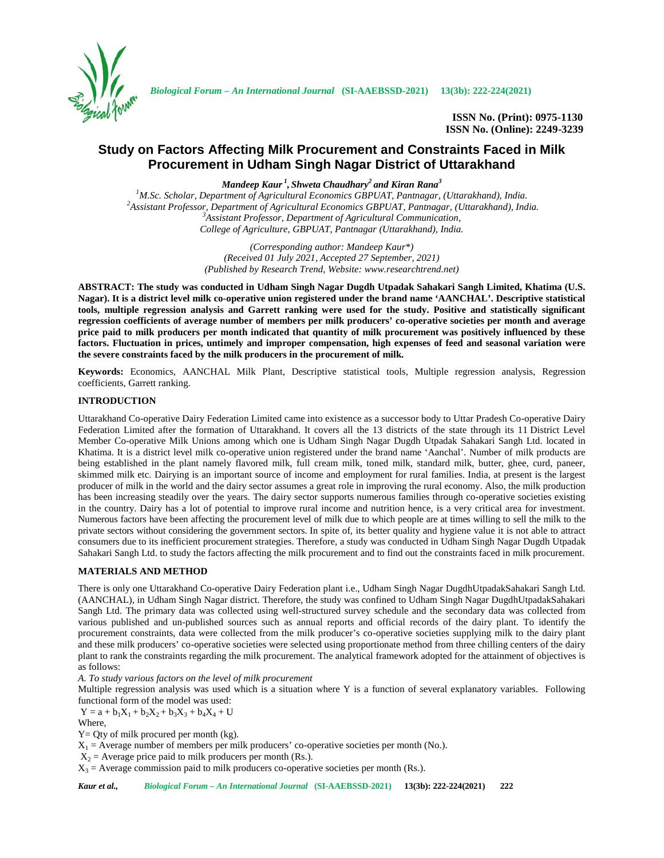

**ISSN No. (Print): 0975-1130 ISSN No. (Online): 2249-3239**

# **Study on Factors Affecting Milk Procurement and Constraints Faced in Milk Procurement in Udham Singh Nagar District of Uttarakhand**

*Mandeep Kaur <sup>1</sup> , Shweta Chaudhary<sup>2</sup> and Kiran Rana<sup>3</sup>*

<sup>1</sup>M.Sc. Scholar, Department of Agricultural Economics GBPUAT, Pantnagar, (Uttarakhand), India.<br><sup>2</sup>Assistant Professor, Department of Agricultural Economics GBPUAT, Pantnagar, (Uttarakhand), India.<br><sup>3</sup>Assistant Professor. *College of Agriculture, GBPUAT, Pantnagar (Uttarakhand), India.*

> *(Corresponding author: Mandeep Kaur\*) (Received 01 July 2021, Accepted 27 September, 2021) (Published by Research Trend, Website: <www.researchtrend.net>)*

**ABSTRACT: The study was conducted in Udham Singh Nagar Dugdh Utpadak Sahakari Sangh Limited, Khatima (U.S. Nagar). It is a district level milk co-operative union registered under the brand name 'AANCHAL'. Descriptive statistical tools, multiple regression analysis and Garrett ranking were used for the study. Positive and statistically significant regression coefficients of average number of members per milk producers' co-operative societies per month and average price paid to milk producers per month indicated that quantity of milk procurement was positively influenced by these factors. Fluctuation in prices, untimely and improper compensation, high expenses of feed and seasonal variation were the severe constraints faced by the milk producers in the procurement of milk.**

**Keywords:** Economics, AANCHAL Milk Plant, Descriptive statistical tools, Multiple regression analysis, Regression coefficients, Garrett ranking.

## **INTRODUCTION**

Uttarakhand Co-operative Dairy Federation Limited came into existence as a successor body to Uttar Pradesh Co-operative Dairy Federation Limited after the formation of Uttarakhand. It covers all the 13 districts of the state through its 11 District Level Member Co-operative Milk Unions among which one is Udham Singh Nagar Dugdh Utpadak Sahakari Sangh Ltd. located in Khatima. It is a district level milk co-operative union registered under the brand name 'Aanchal'. Number of milk products are being established in the plant namely flavored milk, full cream milk, toned milk, standard milk, butter, ghee, curd, paneer, skimmed milk etc. Dairying is an important source of income and employment for rural families. India, at present is the largest producer of milk in the world and the dairy sector assumes a great role in improving the rural economy. Also, the milk production has been increasing steadily over the years. The dairy sector supports numerous families through co-operative societies existing in the country. Dairy has a lot of potential to improve rural income and nutrition hence, is a very critical area for investment. Numerous factors have been affecting the procurement level of milk due to which people are at times willing to sell the milk to the private sectors without considering the government sectors. In spite of, its better quality and hygiene value it is not able to attract consumers due to its inefficient procurement strategies. Therefore, a study was conducted in Udham Singh Nagar Dugdh Utpadak Sahakari Sangh Ltd. to study the factors affecting the milk procurement and to find out the constraints faced in milk procurement.

## **MATERIALS AND METHOD**

There is only one Uttarakhand Co-operative Dairy Federation plant i.e., Udham Singh Nagar DugdhUtpadakSahakari Sangh Ltd. (AANCHAL), in Udham Singh Nagar district. Therefore, the study was confined to Udham Singh Nagar DugdhUtpadakSahakari Sangh Ltd. The primary data was collected using well-structured survey schedule and the secondary data was collected from various published and un-published sources such as annual reports and official records of the dairy plant. To identify the procurement constraints, data were collected from the milk producer's co-operative societies supplying milk to the dairy plant and these milk producers' co-operative societies were selected using proportionate method from three chilling centers of the dairy plant to rank the constraints regarding the milk procurement. The analytical framework adopted for the attainment of objectives is as follows:

*A. To study various factors on the level of milk procurement*

Multiple regression analysis was used which is a situation where Y is a function of several explanatory variables. Following functional form of the model was used:

 $Y = a + b_1X_1 + b_2X_2 + b_3X_3 + b_4X_4 + U$ 

Where,

 $Y = Qty$  of milk procured per month (kg).

 $X_1$  = Average number of members per milk producers' co-operative societies per month (No.).

 $X_2$  = Average price paid to milk producers per month (Rs.).

 $X_3$  = Average commission paid to milk producers co-operative societies per month (Rs.).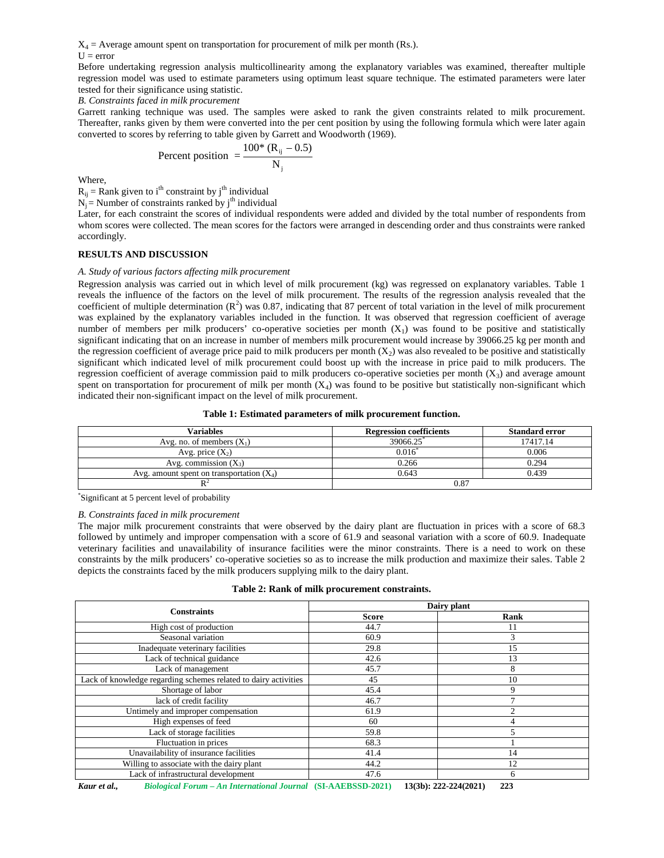$X_4$  = Average amount spent on transportation for procurement of milk per month (Rs.).

 $U = error$ 

Before undertaking regression analysis multicollinearity among the explanatory variables was examined, thereafter multiple regression model was used to estimate parameters using optimum least square technique. The estimated parameters were later tested for their significance using statistic.

*B. Constraints faced in milk procurement*

Garrett ranking technique was used. The samples were asked to rank the given constraints related to milk procurement. Thereafter, ranks given by them were converted into the per cent position by using the following formula which were later again converted to scores by referring to table given by Garrett and Woodworth (1969). t spent on transportation for procurement of milk per month (Rs.).<br>regression analysis multicollinearity among the explanatory variables was examined, the<br>usus used to estimate parameters using optimum least square techni

Percent position 
$$
= \frac{100^* (R_{ij} - 0.5)}{N_j}
$$

Where,

 $R_{ii}$  = Rank given to i<sup>th</sup> constraint by j<sup>th</sup> individual

 $N_i$  = Number of constraints ranked by j<sup>th</sup> individual

Later, for each constraint the scores of individual respondents were added and divided by the total number of respondents from whom scores were collected. The mean scores for the factors were arranged in descending order and thus constraints were ranked accordingly.

## **RESULTS AND DISCUSSION**

## *A. Study of various factors affecting milk procurement*

Regression analysis was carried out in which level of milk procurement (kg) was regressed on explanatory variables. Table 1 reveals the influence of the factors on the level of milk procurement. The results of the regression analysis revealed that the coefficient of multiple determination  $(R^2)$  was 0.87, indicating that 87 percent of total variation in the level of milk procurement was explained by the explanatory variables included in the function. It was observed that regression coefficient of average number of members per milk producers' co-operative societies per month  $(X_1)$  was found to be positive and statistically significant indicating that on an increase in number of members milk procurement would increase by 39066.25 kg per month and the regression coefficient of average price paid to milk producers per month  $(X_2)$  was also revealed to be positive and statistically significant which indicated level of milk procurement could boost up with the increase in price paid to milk producers. The regression coefficient of average commission paid to milk producers co-operative societies per month  $(X_3)$  and average amount spent on transportation for procurement of milk per month  $(X_4)$  was found to be positive but statistically non-significant which indicated their non-significant impact on the level of milk procurement.

#### **Table 1: Estimated parameters of milk procurement function.**

| Variables                                   | <b>Regression coefficients</b> | <b>Standard error</b> |
|---------------------------------------------|--------------------------------|-----------------------|
| Avg. no. of members $(X_1)$                 | 39066.25                       | 7417.14               |
| Avg. price $(X_2)$                          | 0.016                          | 0.006                 |
| Avg. commission $(X_3)$                     | 0.266                          | 0.294                 |
| Avg. amount spent on transportation $(X_4)$ | 0.643                          | 0.439                 |
|                                             | 0.87                           |                       |

\*Significant at 5 percent level of probability

#### *B. Constraints faced in milk procurement*

The major milk procurement constraints that were observed by the dairy plant are fluctuation in prices with a score of 68.3 followed by untimely and improper compensation with a score of 61.9 and seasonal variation with a score of 60.9. Inadequate veterinary facilities and unavailability of insurance facilities were the minor constraints. There is a need to work on these constraints by the milk producers' co-operative societies so as to increase the milk production and maximize their sales. Table 2 depicts the constraints faced by the milk producers supplying milk to the dairy plant.

| <b>Constraints</b>                                              | Dairy plant  |                |
|-----------------------------------------------------------------|--------------|----------------|
|                                                                 | <b>Score</b> | Rank           |
| High cost of production                                         | 44.7         | 11             |
| Seasonal variation                                              | 60.9         | 3              |
| Inadequate veterinary facilities                                | 29.8         | 15             |
| Lack of technical guidance                                      | 42.6         | 13             |
| Lack of management                                              | 45.7         | 8              |
| Lack of knowledge regarding schemes related to dairy activities | 45           | 10             |
| Shortage of labor                                               | 45.4         | 9              |
| lack of credit facility                                         | 46.7         |                |
| Untimely and improper compensation                              | 61.9         | $\mathfrak{D}$ |
| High expenses of feed                                           | 60           |                |
| Lack of storage facilities                                      | 59.8         | 5              |
| Fluctuation in prices                                           | 68.3         |                |
| Unavailability of insurance facilities                          | 41.4         | 14             |
| Willing to associate with the dairy plant                       | 44.2         | 12             |
| Lack of infrastructural development                             | 47.6         | 6              |

*Kaur et al., Biological Forum – An International Journal* **(SI-AAEBSSD-2021) 13(3b): 222-224(2021) 223**